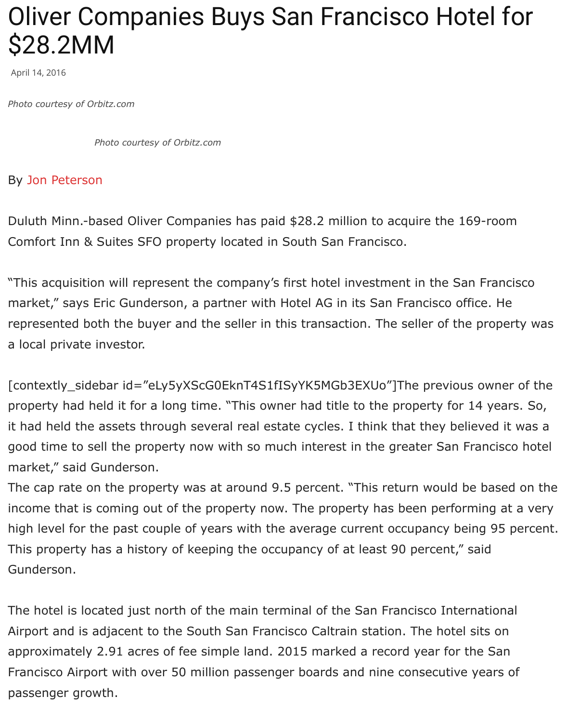*Photo courtesy of Orbitz.com*

## By Jon Peterson

Duluth Minn.-based Oliver Companies has paid \$28.2 million to acquire the 169-Comfort Inn & Suites SFO property located in South San Francisco.

"T[his acquisition](mailto:editor@theregistrysf.com) will represent the company's first hotel investment in the San I market," says Eric Gunderson, a partner with Hotel AG in its San Francisco offic represented both the buyer and the seller in this transaction. The seller of the p a local private investor.

[contextly\_sidebar id="eLy5yXScG0EknT4S1fISyYK5MGb3EXUo"]The previous o property had held it for a long time. "This owner had title to the property for 14 it had held the assets through several real estate cycles. I think that they believ good time to sell the property now with so much interest in the greater San Fra market," said Gunderson.

The cap rate on the property was at around 9.5 percent. "This return would be income that is coming out of the property now. The property has been performing high level for the past couple of years with the average current occupancy being This property has a history of keeping the occupancy of at least 90 percent," sa Gunderson.

The hotel is located just north of the main terminal of the San Francisco International Airport and is adjacent to the South San Francisco Caltrain station. The hotel sit approximately 2.91 acres of fee simple land. 2015 marked a record year for the Francisco Airport with over 50 million passenger boards and nine consecutive years. passenger growth.